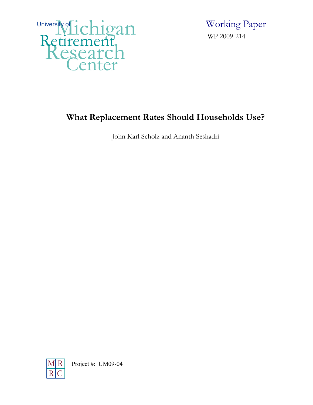

 Working Paper WP 2009-214

# **What Replacement Rates Should Households Use?**

John Karl Scholz and Ananth Seshadri

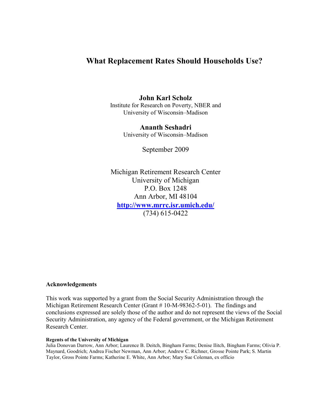## **What Replacement Rates Should Households Use?**

### **John Karl Scholz**

Institute for Research on Poverty, NBER and University of Wisconsin–Madison

> **Ananth Seshadri**  University of Wisconsin–Madison

> > September 2009

Michigan Retirement Research Center University of Michigan P.O. Box 1248 Ann Arbor, MI 48104 **<http://www.mrrc.isr.umich.edu/>** (734) 615-0422

#### **Acknowledgements**

This work was supported by a grant from the Social Security Administration through the Michigan Retirement Research Center (Grant # 10-M-98362-5-01). The findings and conclusions expressed are solely those of the author and do not represent the views of the Social Security Administration, any agency of the Federal government, or the Michigan Retirement Research Center.

#### **Regents of the University of Michigan**

Julia Donovan Darrow, Ann Arbor; Laurence B. Deitch, Bingham Farms; Denise Ilitch, Bingham Farms; Olivia P. Maynard, Goodrich; Andrea Fischer Newman, Ann Arbor; Andrew C. Richner, Grosse Pointe Park; S. Martin Taylor, Gross Pointe Farms; Katherine E. White, Ann Arbor; Mary Sue Coleman, ex officio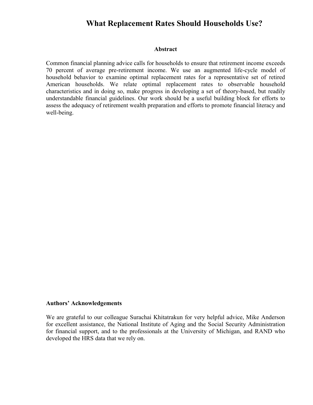### **What Replacement Rates Should Households Use?**

#### **Abstract**

Common financial planning advice calls for households to ensure that retirement income exceeds 70 percent of average pre-retirement income. We use an augmented life-cycle model of household behavior to examine optimal replacement rates for a representative set of retired American households. We relate optimal replacement rates to observable household characteristics and in doing so, make progress in developing a set of theory-based, but readily understandable financial guidelines. Our work should be a useful building block for efforts to assess the adequacy of retirement wealth preparation and efforts to promote financial literacy and well-being.

#### **Authors' Acknowledgements**

We are grateful to our colleague Surachai Khitatrakun for very helpful advice, Mike Anderson for excellent assistance, the National Institute of Aging and the Social Security Administration for financial support, and to the professionals at the University of Michigan, and RAND who developed the HRS data that we rely on.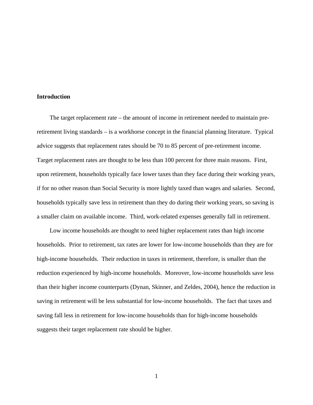#### **Introduction**

 The target replacement rate – the amount of income in retirement needed to maintain preretirement living standards – is a workhorse concept in the financial planning literature. Typical advice suggests that replacement rates should be 70 to 85 percent of pre-retirement income. Target replacement rates are thought to be less than 100 percent for three main reasons. First, upon retirement, households typically face lower taxes than they face during their working years, if for no other reason than Social Security is more lightly taxed than wages and salaries. Second, households typically save less in retirement than they do during their working years, so saving is a smaller claim on available income. Third, work-related expenses generally fall in retirement.

 Low income households are thought to need higher replacement rates than high income households. Prior to retirement, tax rates are lower for low-income households than they are for high-income households. Their reduction in taxes in retirement, therefore, is smaller than the reduction experienced by high-income households. Moreover, low-income households save less than their higher income counterparts (Dynan, Skinner, and Zeldes, 2004), hence the reduction in saving in retirement will be less substantial for low-income households. The fact that taxes and saving fall less in retirement for low-income households than for high-income households suggests their target replacement rate should be higher.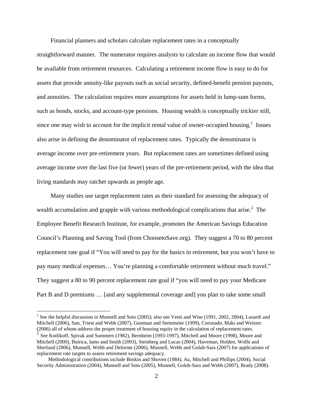Financial planners and scholars calculate replacement rates in a conceptually

straightforward manner. The numerator requires analysts to calculate an income flow that would be available from retirement resources. Calculating a retirement income flow is easy to do for assets that provide annuity-like payouts such as social security, defined-benefit pension payouts, and annuities. The calculation requires more assumptions for assets held in lump-sum forms, such as bonds, stocks, and account-type pensions. Housing wealth is conceptually trickier still, since one may wish to account for the implicit rental value of owner-occupied housing.<sup>1</sup> Issues also arise in defining the denominator of replacement rates. Typically the denominator is average income over pre-retirement years. But replacement rates are sometimes defined using average income over the last five (or fewer) years of the pre-retirement period, with the idea that living standards may ratchet upwards as people age.

 Many studies use target replacement rates as their standard for assessing the adequacy of wealth accumulation and grapple with various methodological complications that arise. $2$  The Employee Benefit Research Institute, for example, promotes the American Savings Education Council's Planning and Saving Tool (from ChoosetoSave.org). They suggest a 70 to 80 percent replacement rate goal if "You will need to pay for the basics in retirement, but you won't have to pay many medical expenses… You're planning a comfortable retirement without much travel." They suggest a 80 to 90 percent replacement rate goal if "you will need to pay your Medicare Part B and D premiums ... [and any supplemental coverage and] you plan to take some small

<sup>&</sup>lt;sup>1</sup> See the helpful discussion in Munnell and Soto (2005); also see Venti and Wise (1991, 2002, 2004), Lusardi and Mitchell (2006), Sun, Triest and Webb (2007), Gustman and Steinmeier (1999), Coronado, Maki and Weitzer (2006) all of whom address the proper treatment of housing equity in the calculation of replacement rates.

<sup>2</sup> See Kotlikoff, Spivak and Summers (1982), Bernheim (1993-1997), Mitchell and Moore (1998), Moore and Mitchell (2000), Butrica, Iams and Smith (2003), Steinberg and Lucas (2004), Haveman, Holden, Wolfe and Sherlund (2006), Munnell, Webb and Delorme (2006), Munnell, Webb and Golub-Sass (2007) for applications of replacement rate targets to assess retirement savings adequacy.

Methodological contributions include Boskin and Shoven (1984), Au, Mitchell and Phillips (2004), Social Security Administration (2004), Munnell and Soto (2005), Munnell, Golub-Sass and Webb (2007), Brady (2008).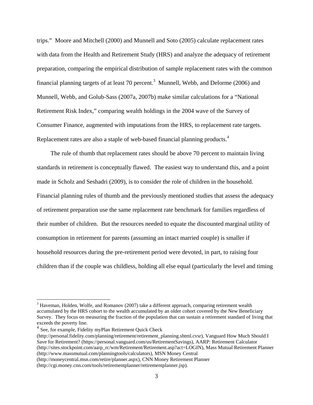trips." Moore and Mitchell (2000) and Munnell and Soto (2005) calculate replacement rates with data from the Health and Retirement Study (HRS) and analyze the adequacy of retirement preparation, comparing the empirical distribution of sample replacement rates with the common financial planning targets of at least 70 percent.<sup>3</sup> Munnell, Webb, and Delorme (2006) and Munnell, Webb, and Golub-Sass (2007a, 2007b) make similar calculations for a "National Retirement Risk Index," comparing wealth holdings in the 2004 wave of the Survey of Consumer Finance, augmented with imputations from the HRS, to replacement rate targets. Replacement rates are also a staple of web-based financial planning products.<sup>4</sup>

 The rule of thumb that replacement rates should be above 70 percent to maintain living standards in retirement is conceptually flawed. The easiest way to understand this, and a point made in Scholz and Seshadri (2009), is to consider the role of children in the household. Financial planning rules of thumb and the previously mentioned studies that assess the adequacy of retirement preparation use the same replacement rate benchmark for families regardless of their number of children. But the resources needed to equate the discounted marginal utility of consumption in retirement for parents (assuming an intact married couple) is smaller if household resources during the pre-retirement period were devoted, in part, to raising four children than if the couple was childless, holding all else equal (particularly the level and timing

 $\overline{a}$ 

 $3$  Haveman, Holden, Wolfe, and Romanov (2007) take a different approach, comparing retirement wealth accumulated by the HRS cohort to the wealth accumulated by an older cohort covered by the New Beneficiary Survey. They focus on measuring the fraction of the population that can sustain a retirement standard of living that exceeds the poverty line.

<sup>4</sup> See, for example, Fidelity myPlan Retirement Quick Check

<sup>(</sup>http://personal.fidelity.com/planning/retirement/retirement\_planning.shtml.cvsr), Vanguard How Much Should I Save for Retirement? (https://personal.vanguard.com/us/RetirementSavings), AARP: Retirement Calculator (http://sites.stockpoint.com/aarp\_rc/wm/Retirement/Retirement.asp?act=LOGIN), Mass Mutual Retirement Planner (http://www.massmutual.com/planningtools/calculators), MSN Money Central

<sup>(</sup>http://moneycentral.msn.com/retire/planner.aspx), CNN Money Retirement Planner

<sup>(</sup>http://cgi.money.cnn.com/tools/retirementplanner/retirementplanner.jsp).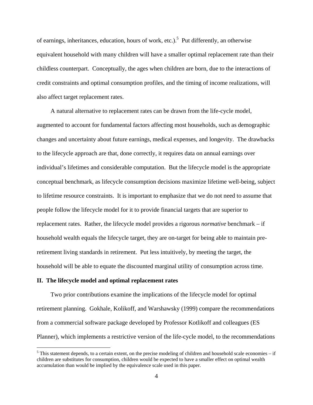of earnings, inheritances, education, hours of work, etc.).<sup>5</sup> Put differently, an otherwise equivalent household with many children will have a smaller optimal replacement rate than their childless counterpart. Conceptually, the ages when children are born, due to the interactions of credit constraints and optimal consumption profiles, and the timing of income realizations, will also affect target replacement rates.

 A natural alternative to replacement rates can be drawn from the life-cycle model, augmented to account for fundamental factors affecting most households, such as demographic changes and uncertainty about future earnings, medical expenses, and longevity. The drawbacks to the lifecycle approach are that, done correctly, it requires data on annual earnings over individual's lifetimes and considerable computation. But the lifecycle model is the appropriate conceptual benchmark, as lifecycle consumption decisions maximize lifetime well-being, subject to lifetime resource constraints. It is important to emphasize that we do not need to assume that people follow the lifecycle model for it to provide financial targets that are superior to replacement rates. Rather, the lifecycle model provides a rigorous *normative* benchmark – if household wealth equals the lifecycle target, they are on-target for being able to maintain preretirement living standards in retirement. Put less intuitively, by meeting the target, the household will be able to equate the discounted marginal utility of consumption across time.

#### **II. The lifecycle model and optimal replacement rates**

 $\overline{a}$ 

 Two prior contributions examine the implications of the lifecycle model for optimal retirement planning. Gokhale, Kolikoff, and Warshawsky (1999) compare the recommendations from a commercial software package developed by Professor Kotlikoff and colleagues (ES Planner), which implements a restrictive version of the life-cycle model, to the recommendations

 $<sup>5</sup>$  This statement depends, to a certain extent, on the precise modeling of children and household scale economies – if</sup> children are substitutes for consumption, children would be expected to have a smaller effect on optimal wealth accumulation than would be implied by the equivalence scale used in this paper.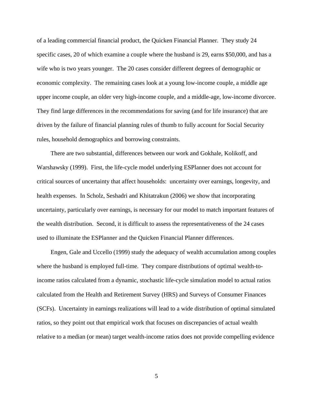of a leading commercial financial product, the Quicken Financial Planner. They study 24 specific cases, 20 of which examine a couple where the husband is 29, earns \$50,000, and has a wife who is two years younger. The 20 cases consider different degrees of demographic or economic complexity. The remaining cases look at a young low-income couple, a middle age upper income couple, an older very high-income couple, and a middle-age, low-income divorcee. They find large differences in the recommendations for saving (and for life insurance) that are driven by the failure of financial planning rules of thumb to fully account for Social Security rules, household demographics and borrowing constraints.

 There are two substantial, differences between our work and Gokhale, Kolikoff, and Warshawsky (1999). First, the life-cycle model underlying ESPlanner does not account for critical sources of uncertainty that affect households: uncertainty over earnings, longevity, and health expenses. In Scholz, Seshadri and Khitatrakun (2006) we show that incorporating uncertainty, particularly over earnings, is necessary for our model to match important features of the wealth distribution. Second, it is difficult to assess the representativeness of the 24 cases used to illuminate the ESPlanner and the Quicken Financial Planner differences.

 Engen, Gale and Uccello (1999) study the adequacy of wealth accumulation among couples where the husband is employed full-time. They compare distributions of optimal wealth-toincome ratios calculated from a dynamic, stochastic life-cycle simulation model to actual ratios calculated from the Health and Retirement Survey (HRS) and Surveys of Consumer Finances (SCFs). Uncertainty in earnings realizations will lead to a wide distribution of optimal simulated ratios, so they point out that empirical work that focuses on discrepancies of actual wealth relative to a median (or mean) target wealth-income ratios does not provide compelling evidence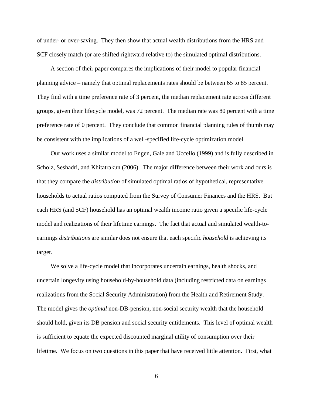of under- or over-saving. They then show that actual wealth distributions from the HRS and SCF closely match (or are shifted rightward relative to) the simulated optimal distributions.

 A section of their paper compares the implications of their model to popular financial planning advice – namely that optimal replacements rates should be between 65 to 85 percent. They find with a time preference rate of 3 percent, the median replacement rate across different groups, given their lifecycle model, was 72 percent. The median rate was 80 percent with a time preference rate of 0 percent. They conclude that common financial planning rules of thumb may be consistent with the implications of a well-specified life-cycle optimization model.

 Our work uses a similar model to Engen, Gale and Uccello (1999) and is fully described in Scholz, Seshadri, and Khitatrakun (2006). The major difference between their work and ours is that they compare the *distribution* of simulated optimal ratios of hypothetical, representative households to actual ratios computed from the Survey of Consumer Finances and the HRS. But each HRS (and SCF) household has an optimal wealth income ratio given a specific life-cycle model and realizations of their lifetime earnings. The fact that actual and simulated wealth-toearnings *distributions* are similar does not ensure that each specific *household* is achieving its target.

 We solve a life-cycle model that incorporates uncertain earnings, health shocks, and uncertain longevity using household-by-household data (including restricted data on earnings realizations from the Social Security Administration) from the Health and Retirement Study. The model gives the *optimal* non-DB-pension, non-social security wealth that the household should hold, given its DB pension and social security entitlements. This level of optimal wealth is sufficient to equate the expected discounted marginal utility of consumption over their lifetime. We focus on two questions in this paper that have received little attention. First, what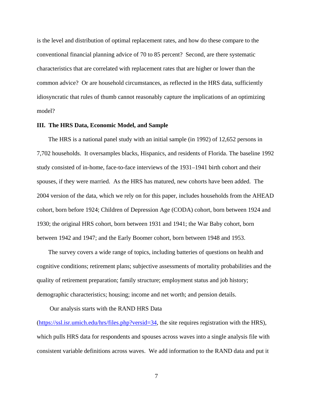is the level and distribution of optimal replacement rates, and how do these compare to the conventional financial planning advice of 70 to 85 percent? Second, are there systematic characteristics that are correlated with replacement rates that are higher or lower than the common advice? Or are household circumstances, as reflected in the HRS data, sufficiently idiosyncratic that rules of thumb cannot reasonably capture the implications of an optimizing model?

#### **III. The HRS Data, Economic Model, and Sample**

The HRS is a national panel study with an initial sample (in 1992) of 12,652 persons in 7,702 households. It oversamples blacks, Hispanics, and residents of Florida. The baseline 1992 study consisted of in-home, face-to-face interviews of the 1931–1941 birth cohort and their spouses, if they were married. As the HRS has matured, new cohorts have been added. The 2004 version of the data, which we rely on for this paper, includes households from the AHEAD cohort, born before 1924; Children of Depression Age (CODA) cohort, born between 1924 and 1930; the original HRS cohort, born between 1931 and 1941; the War Baby cohort, born between 1942 and 1947; and the Early Boomer cohort, born between 1948 and 1953.

 The survey covers a wide range of topics, including batteries of questions on health and cognitive conditions; retirement plans; subjective assessments of mortality probabilities and the quality of retirement preparation; family structure; employment status and job history; demographic characteristics; housing; income and net worth; and pension details.

Our analysis starts with the RAND HRS Data

(https://ssl.isr.umich.edu/hrs/files.php?versid=34, the site requires registration with the HRS), which pulls HRS data for respondents and spouses across waves into a single analysis file with consistent variable definitions across waves. We add information to the RAND data and put it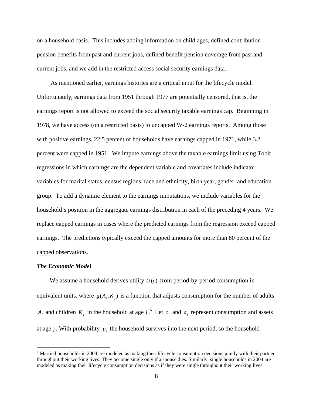on a household basis. This includes adding information on child ages, defined contribution pension benefits from past and current jobs, defined benefit pension coverage from past and current jobs, and we add in the restricted access social security earnings data.

 As mentioned earlier, earnings histories are a critical input for the lifecycle model. Unfortunately, earnings data from 1951 through 1977 are potentially censored, that is, the earnings report is not allowed to exceed the social security taxable earnings cap. Beginning in 1978, we have access (on a restricted basis) to uncapped W-2 earnings reports. Among those with positive earnings, 22.5 percent of households have earnings capped in 1971, while 3.2 percent were capped in 1951. We impute earnings above the taxable earnings limit using Tobit regressions in which earnings are the dependent variable and covariates include indicator variables for marital status, census regions, race and ethnicity, birth year, gender, and education group. To add a dynamic element to the earnings imputations, we include variables for the household's position in the aggregate earnings distribution in each of the preceding 4 years. We replace capped earnings in cases where the predicted earnings from the regression exceed capped earnings. The predictions typically exceed the capped amounts for more than 80 percent of the capped observations.

#### *The Economic Model*

 $\overline{a}$ 

We assume a household derives utility  $U(c)$  from period-by-period consumption in equivalent units, where  $g(A_i, K_i)$  is a function that adjusts consumption for the number of adults *A<sub>j</sub>* and children  $K_j$  in the household at age *j*.<sup>6</sup> Let  $c_j$  and  $a_j$  represent consumption and assets at age *j*. With probability  $p_j$  the household survives into the next period, so the household

<sup>&</sup>lt;sup>6</sup> Married households in 2004 are modeled as making their lifecycle consumption decisions jointly with their partner throughout their working lives. They become single only if a spouse dies. Similarly, single households in 2004 are modeled as making their lifecycle consumption decisions as if they were single throughout their working lives.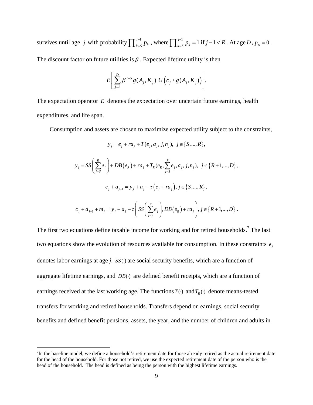survives until age *j* with probability  $\prod_{k=5}^{j-1} p_k$ , where  $\prod_{k=5}^{j-1} p_k = 1$  if  $j-1 < R$ . At age D,  $p_D = 0$ . The discount factor on future utilities is  $\beta$ . Expected lifetime utility is then

$$
E\bigg[\sum_{j=S}^D \beta^{j-S}\,g(A_j,K_j)\;U\Big(c_j\,/\,g(A_j,K_j)\Big)\bigg].
$$

The expectation operator *E* denotes the expectation over uncertain future earnings, health expenditures, and life span.

Consumption and assets are chosen to maximize expected utility subject to the constraints,

$$
y_j = e_j + ra_j + T(e_j, a_j, j, n_j), \ j \in \{S, ..., R\},\
$$

$$
y_{j} = SS\left(\sum_{j=S}^{R} e_{j}\right) + DB(e_{R}) + ra_{j} + T_{R}(e_{R}, \sum_{j=S}^{R} e_{j}, a_{j}, j, n_{j}), j \in \{R+1,...,D\},\newline c_{j} + a_{j+1} = y_{j} + a_{j} - \tau(e_{j} + ra_{j}), j \in \{S,...,R\},\newline c_{j} + a_{j+1} + m_{j} = y_{j} + a_{j} - \tau\left(SS\left(\sum_{j=S}^{R} e_{j}\right), DB(e_{R}) + ra_{j}\right), j \in \{R+1,...,D\}\;.
$$

The first two equations define taxable income for working and for retired households.<sup>7</sup> The last two equations show the evolution of resources available for consumption. In these constraints  $e_i$ denotes labor earnings at age *j*. *SS*( )⋅ are social security benefits, which are a function of aggregate lifetime earnings, and  $DB()$  are defined benefit receipts, which are a function of earnings received at the last working age. The functions  $T(\cdot)$  and  $T_R(\cdot)$  denote means-tested transfers for working and retired households. Transfers depend on earnings, social security benefits and defined benefit pensions, assets, the year, and the number of children and adults in

 $\overline{a}$ 

 $7$ In the baseline model, we define a household's retirement date for those already retired as the actual retirement date for the head of the household. For those not retired, we use the expected retirement date of the person who is the head of the household. The head is defined as being the person with the highest lifetime earnings.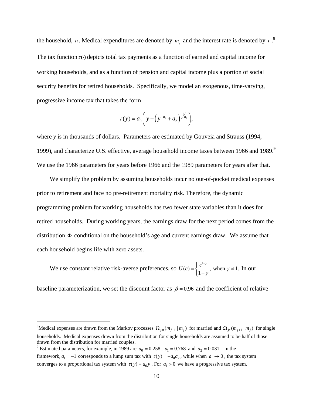the household, *n*. Medical expenditures are denoted by  $m_j$  and the interest rate is denoted by  $r$ .<sup>8</sup> The tax function  $\tau(\cdot)$  depicts total tax payments as a function of earned and capital income for working households, and as a function of pension and capital income plus a portion of social security benefits for retired households. Specifically, we model an exogenous, time-varying, progressive income tax that takes the form

$$
\tau(y) = a_0 \bigg( y - \bigg( y^{-a_1} + a_2 \bigg)^{-1} A_1 \bigg),
$$

where *y* is in thousands of dollars. Parameters are estimated by Gouveia and Strauss (1994, 1999), and characterize U.S. effective, average household income taxes between 1966 and 1989. $9$ We use the 1966 parameters for years before 1966 and the 1989 parameters for years after that.

 We simplify the problem by assuming households incur no out-of-pocket medical expenses prior to retirement and face no pre-retirement mortality risk. Therefore, the dynamic programming problem for working households has two fewer state variables than it does for retired households. During working years, the earnings draw for the next period comes from the distribution  $\Phi$  conditional on the household's age and current earnings draw. We assume that each household begins life with zero assets.

We use constant relative risk-averse preferences, so  $U(c) = \frac{c^{1}}{c^{1}}$  $U(c) = \begin{cases} \frac{c^{1-\gamma}}{1-\gamma}, & \text{when } \gamma \neq 1. \end{cases}$ γ  $=\left\{\frac{c^{1-\gamma}}{1-\gamma}, \text{ when } \gamma \neq 1. \text{ In our} \right\}$ 

baseline parameterization, we set the discount factor as  $\beta = 0.96$  and the coefficient of relative

<u>.</u>

<sup>&</sup>lt;sup>8</sup>Medical expenses are drawn from the Markov processes  $\Omega_{jm}(m_{j+1}|m_j)$  for married and  $\Omega_{js}(m_{j+1}|m_j)$  for single households. Medical expenses drawn from the distribution for single households are assumed to be half of those drawn from the distribution for married couples.

<sup>&</sup>lt;sup>9</sup> Estimated parameters, for example, in 1989 are  $a_0 = 0.258$ ,  $a_1 = 0.768$  and  $a_2 = 0.031$ . In the framework,  $a_1 = -1$  corresponds to a lump sum tax with  $\tau(y) = -a_0 a_2$ , while when  $a_1 \rightarrow 0$ , the tax system converges to a proportional tax system with  $\tau(y) = a_0 y$ . For  $a_1 > 0$  we have a progressive tax system.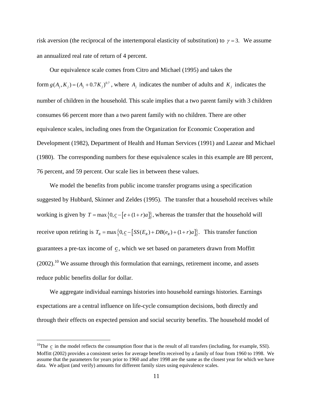risk aversion (the reciprocal of the intertemporal elasticity of substitution) to  $\gamma = 3$ . We assume an annualized real rate of return of 4 percent.

 Our equivalence scale comes from Citro and Michael (1995) and takes the form  $g(A_i, K_j) = (A_i + 0.7K_j)^{0.7}$ , where  $A_i$  indicates the number of adults and  $K_i$  indicates the number of children in the household. This scale implies that a two parent family with 3 children consumes 66 percent more than a two parent family with no children. There are other equivalence scales, including ones from the Organization for Economic Cooperation and Development (1982), Department of Health and Human Services (1991) and Lazear and Michael (1980). The corresponding numbers for these equivalence scales in this example are 88 percent, 76 percent, and 59 percent. Our scale lies in between these values.

 We model the benefits from public income transfer programs using a specification suggested by Hubbard, Skinner and Zeldes (1995). The transfer that a household receives while working is given by  $T = \max\{0, \underline{c} - [e + (1+r)a]\}\$ , whereas the transfer that the household will receive upon retiring is  $T_R = \max\left\{0, \underline{c} - [SS(E_R) + DB(e_R) + (1+r)a]\right\}$ . This transfer function guarantees a pre-tax income of  $\mathbf{c}$ , which we set based on parameters drawn from Moffitt  $(2002).$ <sup>10</sup> We assume through this formulation that earnings, retirement income, and assets reduce public benefits dollar for dollar.

 We aggregate individual earnings histories into household earnings histories. Earnings expectations are a central influence on life-cycle consumption decisions, both directly and through their effects on expected pension and social security benefits. The household model of

 $\overline{a}$ 

<sup>&</sup>lt;sup>10</sup>The  $c$  in the model reflects the consumption floor that is the result of all transfers (including, for example, SSI). Moffitt (2002) provides a consistent series for average benefits received by a family of four from 1960 to 1998. We assume that the parameters for years prior to 1960 and after 1998 are the same as the closest year for which we have data. We adjust (and verify) amounts for different family sizes using equivalence scales.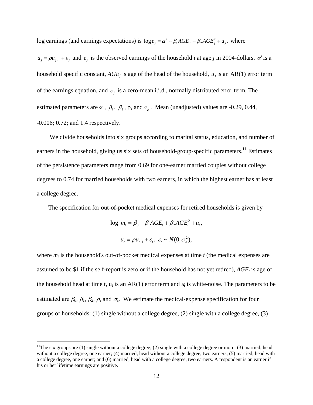log earnings (and earnings expectations) is  $\log e_j = \alpha^i + \beta_1 AGE_j + \beta_2 AGE_j^2 + u_j$ , where

 $u_j = \rho u_{j-1} + \varepsilon_j$  and  $e_j$  is the observed earnings of the household *i* at age *j* in 2004-dollars,  $\alpha^i$  is a household specific constant,  $AGE_j$  is age of the head of the household,  $u_j$  is an AR(1) error term of the earnings equation, and  $\varepsilon_j$  is a zero-mean i.i.d., normally distributed error term. The estimated parameters are  $\alpha^i$ ,  $\beta_1$ ,  $\beta_2$ ,  $\rho$ , and  $\sigma_{\varepsilon}$ . Mean (unadjusted) values are -0.29, 0.44, -0.006; 0.72; and 1.4 respectively.

 We divide households into six groups according to marital status, education, and number of earners in the household, giving us six sets of household-group-specific parameters.<sup>11</sup> Estimates of the persistence parameters range from 0.69 for one-earner married couples without college degrees to 0.74 for married households with two earners, in which the highest earner has at least a college degree.

The specification for out-of-pocket medical expenses for retired households is given by

$$
\log m_t = \beta_0 + \beta_1 AGE_t + \beta_2 AGE_t^2 + u_t,
$$

 $u_t = \rho u_{t-1} + \varepsilon_t, \ \varepsilon_t \sim N(0, \sigma_{\varepsilon}^2),$ 

where  $m_t$  is the household's out-of-pocket medical expenses at time  $t$  (the medical expenses are assumed to be \$1 if the self-report is zero or if the household has not yet retired),  $AGE<sub>t</sub>$  is age of the household head at time t,  $u_t$  is an AR(1) error term and  $\varepsilon_t$  is white-noise. The parameters to be estimated are  $\beta_0$ ,  $\beta_1$ ,  $\beta_2$ ,  $\rho$ , and  $\sigma_{\varepsilon}$ . We estimate the medical-expense specification for four groups of households: (1) single without a college degree, (2) single with a college degree, (3)

 $\overline{a}$ 

<sup>&</sup>lt;sup>11</sup>The six groups are (1) single without a college degree; (2) single with a college degree or more; (3) married, head without a college degree, one earner; (4) married, head without a college degree, two earners; (5) married, head with a college degree, one earner; and (6) married, head with a college degree, two earners. A respondent is an earner if his or her lifetime earnings are positive.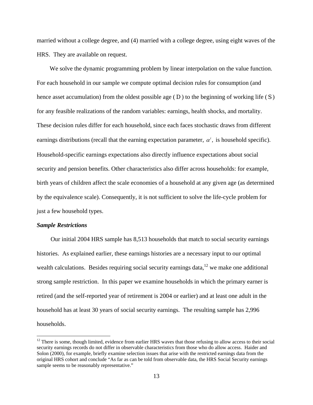married without a college degree, and (4) married with a college degree, using eight waves of the HRS. They are available on request.

We solve the dynamic programming problem by linear interpolation on the value function. For each household in our sample we compute optimal decision rules for consumption (and hence asset accumulation) from the oldest possible age ( *D* ) to the beginning of working life ( *S* ) for any feasible realizations of the random variables: earnings, health shocks, and mortality. These decision rules differ for each household, since each faces stochastic draws from different earnings distributions (recall that the earning expectation parameter,  $\alpha^i$ , is household specific). Household-specific earnings expectations also directly influence expectations about social security and pension benefits. Other characteristics also differ across households: for example, birth years of children affect the scale economies of a household at any given age (as determined by the equivalence scale). Consequently, it is not sufficient to solve the life-cycle problem for just a few household types.

#### *Sample Restrictions*

1

 Our initial 2004 HRS sample has 8,513 households that match to social security earnings histories. As explained earlier, these earnings histories are a necessary input to our optimal wealth calculations. Besides requiring social security earnings data, $12$  we make one additional strong sample restriction. In this paper we examine households in which the primary earner is retired (and the self-reported year of retirement is 2004 or earlier) and at least one adult in the household has at least 30 years of social security earnings. The resulting sample has 2,996 households.

 $12$  There is some, though limited, evidence from earlier HRS waves that those refusing to allow access to their social security earnings records do not differ in observable characteristics from those who do allow access. Haider and Solon (2000), for example, briefly examine selection issues that arise with the restricted earnings data from the original HRS cohort and conclude "As far as can be told from observable data, the HRS Social Security earnings sample seems to be reasonably representative."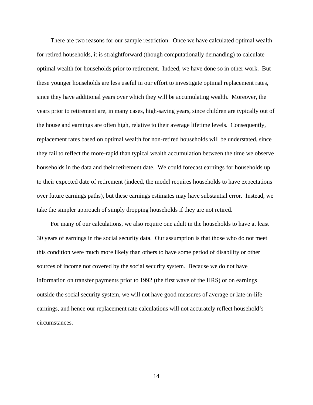There are two reasons for our sample restriction. Once we have calculated optimal wealth for retired households, it is straightforward (though computationally demanding) to calculate optimal wealth for households prior to retirement. Indeed, we have done so in other work. But these younger households are less useful in our effort to investigate optimal replacement rates, since they have additional years over which they will be accumulating wealth. Moreover, the years prior to retirement are, in many cases, high-saving years, since children are typically out of the house and earnings are often high, relative to their average lifetime levels. Consequently, replacement rates based on optimal wealth for non-retired households will be understated, since they fail to reflect the more-rapid than typical wealth accumulation between the time we observe households in the data and their retirement date. We could forecast earnings for households up to their expected date of retirement (indeed, the model requires households to have expectations over future earnings paths), but these earnings estimates may have substantial error. Instead, we take the simpler approach of simply dropping households if they are not retired.

 For many of our calculations, we also require one adult in the households to have at least 30 years of earnings in the social security data. Our assumption is that those who do not meet this condition were much more likely than others to have some period of disability or other sources of income not covered by the social security system. Because we do not have information on transfer payments prior to 1992 (the first wave of the HRS) or on earnings outside the social security system, we will not have good measures of average or late-in-life earnings, and hence our replacement rate calculations will not accurately reflect household's circumstances.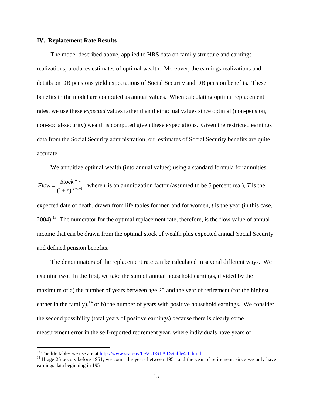#### **IV. Replacement Rate Results**

 The model described above, applied to HRS data on family structure and earnings realizations, produces estimates of optimal wealth. Moreover, the earnings realizations and details on DB pensions yield expectations of Social Security and DB pension benefits. These benefits in the model are computed as annual values. When calculating optimal replacement rates, we use these *expected* values rather than their actual values since optimal (non-pension, non-social-security) wealth is computed given these expectations. Given the restricted earnings data from the Social Security administration, our estimates of Social Security benefits are quite accurate.

We annuitize optimal wealth (into annual values) using a standard formula for annuities  $(T-t-1)$ \*  $(1+r)^{(T-t)}$  $Flow = \frac{Stock * r}{(1+r)^{(T-t-1)}}$  where *r* is an annuitization factor (assumed to be 5 percent real), *T* is the expected date of death, drawn from life tables for men and for women, *t* is the year (in this case,  $2004$ .<sup>13</sup> The numerator for the optimal replacement rate, therefore, is the flow value of annual income that can be drawn from the optimal stock of wealth plus expected annual Social Security and defined pension benefits.

 The denominators of the replacement rate can be calculated in several different ways. We examine two. In the first, we take the sum of annual household earnings, divided by the maximum of a) the number of years between age 25 and the year of retirement (for the highest earner in the family), $^{14}$  or b) the number of years with positive household earnings. We consider the second possibility (total years of positive earnings) because there is clearly some measurement error in the self-reported retirement year, where individuals have years of

 $\overline{a}$ 

<sup>&</sup>lt;sup>13</sup> The life tables we use are at  $\frac{http://www.ssa.gov/OACT/STATS/table4c6.html}{14}$ .<br><sup>14</sup> If age 25 occurs before 1951, we count the years between 1951 and the year of retirement, since we only have earnings data beginning in 1951.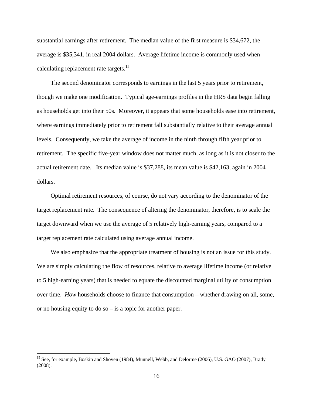substantial earnings after retirement. The median value of the first measure is \$34,672, the average is \$35,341, in real 2004 dollars. Average lifetime income is commonly used when calculating replacement rate targets.<sup>15</sup>

 The second denominator corresponds to earnings in the last 5 years prior to retirement, though we make one modification. Typical age-earnings profiles in the HRS data begin falling as households get into their 50s. Moreover, it appears that some households ease into retirement, where earnings immediately prior to retirement fall substantially relative to their average annual levels. Consequently, we take the average of income in the ninth through fifth year prior to retirement. The specific five-year window does not matter much, as long as it is not closer to the actual retirement date. Its median value is \$37,288, its mean value is \$42,163, again in 2004 dollars.

 Optimal retirement resources, of course, do not vary according to the denominator of the target replacement rate. The consequence of altering the denominator, therefore, is to scale the target downward when we use the average of 5 relatively high-earning years, compared to a target replacement rate calculated using average annual income.

 We also emphasize that the appropriate treatment of housing is not an issue for this study. We are simply calculating the flow of resources, relative to average lifetime income (or relative to 5 high-earning years) that is needed to equate the discounted marginal utility of consumption over time. *How* households choose to finance that consumption – whether drawing on all, some, or no housing equity to do so – is a topic for another paper.

 $\overline{a}$ 

<sup>&</sup>lt;sup>15</sup> See, for example, Boskin and Shoven (1984), Munnell, Webb, and Delorme (2006), U.S. GAO (2007), Brady (2008).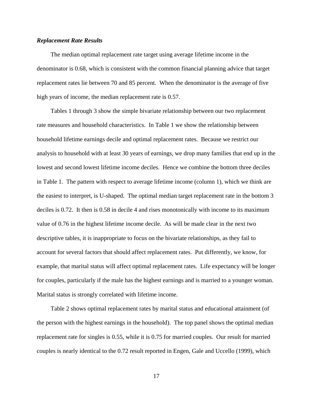#### *Replacement Rate Results*

 The median optimal replacement rate target using average lifetime income in the denominator is 0.68, which is consistent with the common financial planning advice that target replacement rates lie between 70 and 85 percent. When the denominator is the average of five high years of income, the median replacement rate is 0.57.

 Tables 1 through 3 show the simple bivariate relationship between our two replacement rate measures and household characteristics. In Table 1 we show the relationship between household lifetime earnings decile and optimal replacement rates. Because we restrict our analysis to household with at least 30 years of earnings, we drop many families that end up in the lowest and second lowest lifetime income deciles. Hence we combine the bottom three deciles in Table 1. The pattern with respect to average lifetime income (column 1), which we think are the easiest to interpret, is U-shaped. The optimal median target replacement rate in the bottom 3 deciles is 0.72. It then is 0.58 in decile 4 and rises monotonically with income to its maximum value of 0.76 in the highest lifetime income decile. As will be made clear in the next two descriptive tables, it is inappropriate to focus on the bivariate relationships, as they fail to account for several factors that should affect replacement rates. Put differently, we know, for example, that marital status will affect optimal replacement rates. Life expectancy will be longer for couples, particularly if the male has the highest earnings and is married to a younger woman. Marital status is strongly correlated with lifetime income.

 Table 2 shows optimal replacement rates by marital status and educational attainment (of the person with the highest earnings in the household). The top panel shows the optimal median replacement rate for singles is 0.55, while it is 0.75 for married couples. Our result for married couples is nearly identical to the 0.72 result reported in Engen, Gale and Uccello (1999), which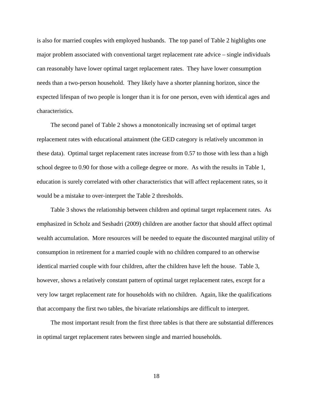is also for married couples with employed husbands. The top panel of Table 2 highlights one major problem associated with conventional target replacement rate advice – single individuals can reasonably have lower optimal target replacement rates. They have lower consumption needs than a two-person household. They likely have a shorter planning horizon, since the expected lifespan of two people is longer than it is for one person, even with identical ages and characteristics.

 The second panel of Table 2 shows a monotonically increasing set of optimal target replacement rates with educational attainment (the GED category is relatively uncommon in these data). Optimal target replacement rates increase from 0.57 to those with less than a high school degree to 0.90 for those with a college degree or more. As with the results in Table 1, education is surely correlated with other characteristics that will affect replacement rates, so it would be a mistake to over-interpret the Table 2 thresholds.

 Table 3 shows the relationship between children and optimal target replacement rates. As emphasized in Scholz and Seshadri (2009) children are another factor that should affect optimal wealth accumulation. More resources will be needed to equate the discounted marginal utility of consumption in retirement for a married couple with no children compared to an otherwise identical married couple with four children, after the children have left the house. Table 3, however, shows a relatively constant pattern of optimal target replacement rates, except for a very low target replacement rate for households with no children. Again, like the qualifications that accompany the first two tables, the bivariate relationships are difficult to interpret.

 The most important result from the first three tables is that there are substantial differences in optimal target replacement rates between single and married households.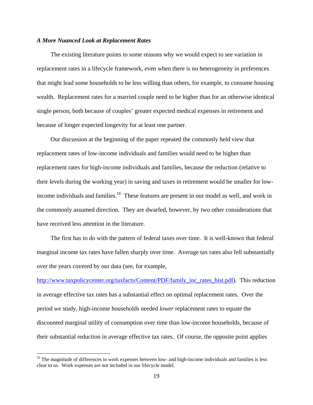#### *A More Nuanced Look at Replacement Rates*

 The existing literature points to some reasons why we would expect to see variation in replacement rates in a lifecycle framework, even when there is no heterogeneity in preferences that might lead some households to be less willing than others, for example, to consume housing wealth. Replacement rates for a married couple need to be higher than for an otherwise identical single person, both because of couples' greater expected medical expenses in retirement and because of longer expected longevity for at least one partner.

 Our discussion at the beginning of the paper repeated the commonly held view that replacement rates of low-income individuals and families would need to be higher than replacement rates for high-income individuals and families, because the reduction (relative to their levels during the working year) in saving and taxes in retirement would be smaller for lowincome individuals and families.<sup>16</sup> These features are present in our model as well, and work in the commonly assumed direction. They are dwarfed, however, by two other considerations that have received less attention in the literature.

 The first has to do with the pattern of federal taxes over time. It is well-known that federal marginal income tax rates have fallen sharply over time. Average tax rates also fell substantially over the years covered by our data (see, for example,

http://www.taxpolicycenter.org/taxfacts/Content/PDF/family\_inc\_rates\_hist.pdf). This reduction in average effective tax rates has a substantial effect on optimal replacement rates. Over the period we study, high-income households needed *lower* replacement rates to equate the discounted marginal utility of consumption over time than low-income households, because of their substantial reduction in average effective tax rates. Of course, the opposite point applies

<sup>&</sup>lt;sup>16</sup> The magnitude of differences in work expenses between low- and high-income individuals and families is less clear to us. Work expenses are not included in our lifecycle model.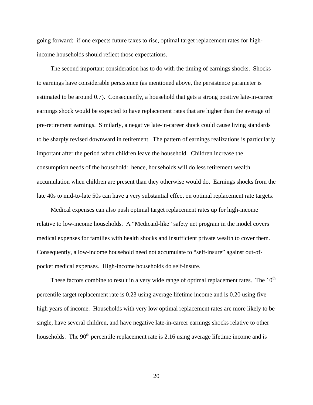going forward: if one expects future taxes to rise, optimal target replacement rates for highincome households should reflect those expectations.

 The second important consideration has to do with the timing of earnings shocks. Shocks to earnings have considerable persistence (as mentioned above, the persistence parameter is estimated to be around 0.7). Consequently, a household that gets a strong positive late-in-career earnings shock would be expected to have replacement rates that are higher than the average of pre-retirement earnings. Similarly, a negative late-in-career shock could cause living standards to be sharply revised downward in retirement. The pattern of earnings realizations is particularly important after the period when children leave the household. Children increase the consumption needs of the household: hence, households will do less retirement wealth accumulation when children are present than they otherwise would do. Earnings shocks from the late 40s to mid-to-late 50s can have a very substantial effect on optimal replacement rate targets.

 Medical expenses can also push optimal target replacement rates up for high-income relative to low-income households. A "Medicaid-like" safety net program in the model covers medical expenses for families with health shocks and insufficient private wealth to cover them. Consequently, a low-income household need not accumulate to "self-insure" against out-ofpocket medical expenses. High-income households do self-insure.

These factors combine to result in a very wide range of optimal replacement rates. The  $10<sup>th</sup>$ percentile target replacement rate is 0.23 using average lifetime income and is 0.20 using five high years of income. Households with very low optimal replacement rates are more likely to be single, have several children, and have negative late-in-career earnings shocks relative to other households. The  $90<sup>th</sup>$  percentile replacement rate is 2.16 using average lifetime income and is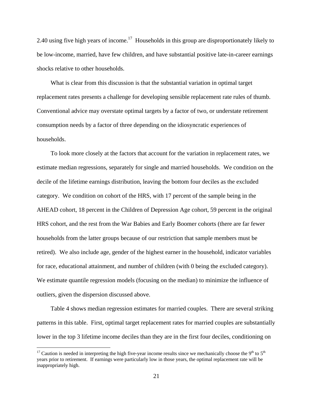2.40 using five high years of income.<sup>17</sup> Households in this group are disproportionately likely to be low-income, married, have few children, and have substantial positive late-in-career earnings shocks relative to other households.

 What is clear from this discussion is that the substantial variation in optimal target replacement rates presents a challenge for developing sensible replacement rate rules of thumb. Conventional advice may overstate optimal targets by a factor of two, or understate retirement consumption needs by a factor of three depending on the idiosyncratic experiences of households.

 To look more closely at the factors that account for the variation in replacement rates, we estimate median regressions, separately for single and married households. We condition on the decile of the lifetime earnings distribution, leaving the bottom four deciles as the excluded category. We condition on cohort of the HRS, with 17 percent of the sample being in the AHEAD cohort, 18 percent in the Children of Depression Age cohort, 59 percent in the original HRS cohort, and the rest from the War Babies and Early Boomer cohorts (there are far fewer households from the latter groups because of our restriction that sample members must be retired). We also include age, gender of the highest earner in the household, indicator variables for race, educational attainment, and number of children (with 0 being the excluded category). We estimate quantile regression models (focusing on the median) to minimize the influence of outliers, given the dispersion discussed above.

Table 4 shows median regression estimates for married couples. There are several striking patterns in this table. First, optimal target replacement rates for married couples are substantially lower in the top 3 lifetime income deciles than they are in the first four deciles, conditioning on

 $\overline{a}$ 

<sup>&</sup>lt;sup>17</sup> Caution is needed in interpreting the high five-year income results since we mechanically choose the 9<sup>th</sup> to 5<sup>th</sup> years prior to retirement. If earnings were particularly low in those years, the optimal replacement rate will be inappropriately high.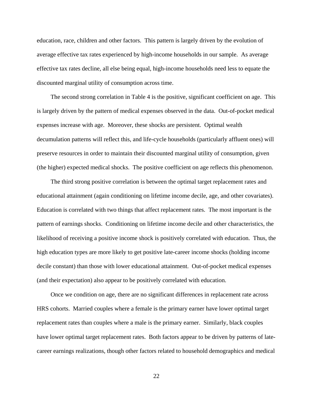education, race, children and other factors. This pattern is largely driven by the evolution of average effective tax rates experienced by high-income households in our sample. As average effective tax rates decline, all else being equal, high-income households need less to equate the discounted marginal utility of consumption across time.

 The second strong correlation in Table 4 is the positive, significant coefficient on age. This is largely driven by the pattern of medical expenses observed in the data. Out-of-pocket medical expenses increase with age. Moreover, these shocks are persistent. Optimal wealth decumulation patterns will reflect this, and life-cycle households (particularly affluent ones) will preserve resources in order to maintain their discounted marginal utility of consumption, given (the higher) expected medical shocks. The positive coefficient on age reflects this phenomenon.

 The third strong positive correlation is between the optimal target replacement rates and educational attainment (again conditioning on lifetime income decile, age, and other covariates). Education is correlated with two things that affect replacement rates. The most important is the pattern of earnings shocks. Conditioning on lifetime income decile and other characteristics, the likelihood of receiving a positive income shock is positively correlated with education. Thus, the high education types are more likely to get positive late-career income shocks (holding income decile constant) than those with lower educational attainment. Out-of-pocket medical expenses (and their expectation) also appear to be positively correlated with education.

 Once we condition on age, there are no significant differences in replacement rate across HRS cohorts. Married couples where a female is the primary earner have lower optimal target replacement rates than couples where a male is the primary earner. Similarly, black couples have lower optimal target replacement rates. Both factors appear to be driven by patterns of latecareer earnings realizations, though other factors related to household demographics and medical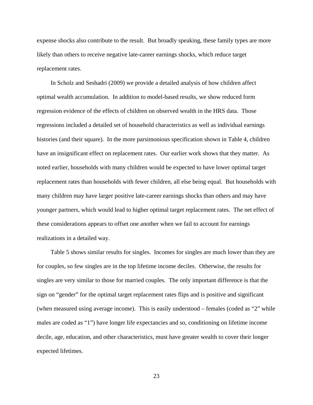expense shocks also contribute to the result. But broadly speaking, these family types are more likely than others to receive negative late-career earnings shocks, which reduce target replacement rates.

 In Scholz and Seshadri (2009) we provide a detailed analysis of how children affect optimal wealth accumulation. In addition to model-based results, we show reduced form regression evidence of the effects of children on observed wealth in the HRS data. Those regressions included a detailed set of household characteristics as well as individual earnings histories (and their square). In the more parsimonious specification shown in Table 4, children have an insignificant effect on replacement rates. Our earlier work shows that they matter. As noted earlier, households with many children would be expected to have lower optimal target replacement rates than households with fewer children, all else being equal. But households with many children may have larger positive late-career earnings shocks than others and may have younger partners, which would lead to higher optimal target replacement rates. The net effect of these considerations appears to offset one another when we fail to account for earnings realizations in a detailed way.

 Table 5 shows similar results for singles. Incomes for singles are much lower than they are for couples, so few singles are in the top lifetime income deciles. Otherwise, the results for singles are very similar to those for married couples. The only important difference is that the sign on "gender" for the optimal target replacement rates flips and is positive and significant (when measured using average income). This is easily understood – females (coded as "2" while males are coded as "1") have longer life expectancies and so, conditioning on lifetime income decile, age, education, and other characteristics, must have greater wealth to cover their longer expected lifetimes.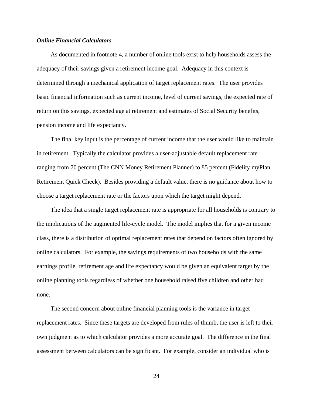#### *Online Financial Calculators*

 As documented in footnote 4, a number of online tools exist to help households assess the adequacy of their savings given a retirement income goal. Adequacy in this context is determined through a mechanical application of target replacement rates. The user provides basic financial information such as current income, level of current savings, the expected rate of return on this savings, expected age at retirement and estimates of Social Security benefits, pension income and life expectancy.

 The final key input is the percentage of current income that the user would like to maintain in retirement. Typically the calculator provides a user-adjustable default replacement rate ranging from 70 percent (The CNN Money Retirement Planner) to 85 percent (Fidelity myPlan Retirement Quick Check). Besides providing a default value, there is no guidance about how to choose a target replacement rate or the factors upon which the target might depend.

 The idea that a single target replacement rate is appropriate for all households is contrary to the implications of the augmented life-cycle model. The model implies that for a given income class, there is a distribution of optimal replacement rates that depend on factors often ignored by online calculators. For example, the savings requirements of two households with the same earnings profile, retirement age and life expectancy would be given an equivalent target by the online planning tools regardless of whether one household raised five children and other had none.

 The second concern about online financial planning tools is the variance in target replacement rates. Since these targets are developed from rules of thumb, the user is left to their own judgment as to which calculator provides a more accurate goal. The difference in the final assessment between calculators can be significant. For example, consider an individual who is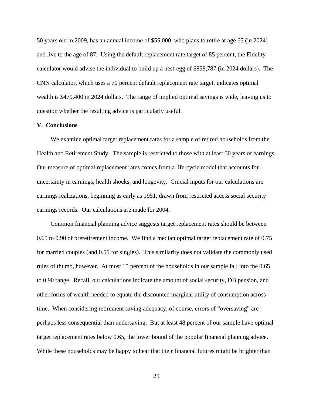50 years old in 2009, has an annual income of \$55,000, who plans to retire at age 65 (in 2024) and live to the age of 87. Using the default replacement rate target of 85 percent, the Fidelity calculator would advise the individual to build up a nest-egg of \$858,787 (in 2024 dollars). The CNN calculator, which uses a 70 percent default replacement rate target, indicates optimal wealth is \$479,400 in 2024 dollars. The range of implied optimal savings is wide, leaving us to question whether the resulting advice is particularly useful.

#### **V. Conclusions**

 We examine optimal target replacement rates for a sample of retired households from the Health and Retirement Study. The sample is restricted to those with at least 30 years of earnings. Our measure of optimal replacement rates comes from a life-cycle model that accounts for uncertainty in earnings, health shocks, and longevity. Crucial inputs for our calculations are earnings realizations, beginning as early as 1951, drawn from restricted access social security earnings records. Our calculations are made for 2004.

 Common financial planning advice suggests target replacement rates should be between 0.65 to 0.90 of preretirement income. We find a median optimal target replacement rate of 0.75 for married couples (and 0.55 for singles). This similarity does not validate the commonly used rules of thumb, however. At most 15 percent of the households in our sample fall into the 0.65 to 0.90 range. Recall, our calculations indicate the amount of social security, DB pension, and other forms of wealth needed to equate the discounted marginal utility of consumption across time. When considering retirement saving adequacy, of course, errors of "oversaving" are perhaps less consequential than undersaving. But at least 48 percent of our sample have optimal target replacement rates below 0.65, the lower bound of the popular financial planning advice. While these households may be happy to hear that their financial futures might be brighter than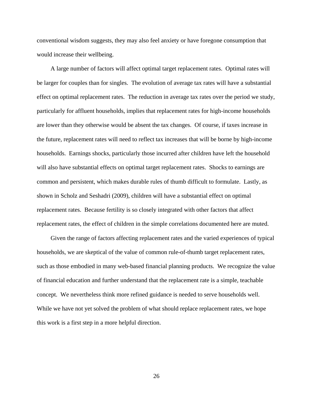conventional wisdom suggests, they may also feel anxiety or have foregone consumption that would increase their wellbeing.

 A large number of factors will affect optimal target replacement rates. Optimal rates will be larger for couples than for singles. The evolution of average tax rates will have a substantial effect on optimal replacement rates. The reduction in average tax rates over the period we study, particularly for affluent households, implies that replacement rates for high-income households are lower than they otherwise would be absent the tax changes. Of course, if taxes increase in the future, replacement rates will need to reflect tax increases that will be borne by high-income households. Earnings shocks, particularly those incurred after children have left the household will also have substantial effects on optimal target replacement rates. Shocks to earnings are common and persistent, which makes durable rules of thumb difficult to formulate. Lastly, as shown in Scholz and Seshadri (2009), children will have a substantial effect on optimal replacement rates. Because fertility is so closely integrated with other factors that affect replacement rates, the effect of children in the simple correlations documented here are muted.

 Given the range of factors affecting replacement rates and the varied experiences of typical households, we are skeptical of the value of common rule-of-thumb target replacement rates, such as those embodied in many web-based financial planning products. We recognize the value of financial education and further understand that the replacement rate is a simple, teachable concept. We nevertheless think more refined guidance is needed to serve households well. While we have not yet solved the problem of what should replace replacement rates, we hope this work is a first step in a more helpful direction.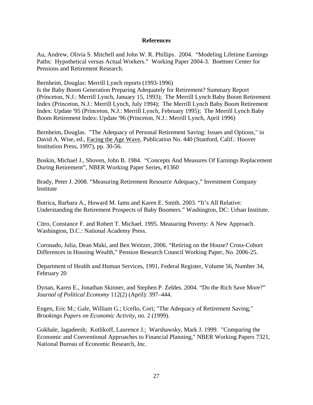#### **References**

Au, Andrew, Olivia S. Mitchell and John W. R. Phillips. 2004. "Modeling Lifetime Earnings Paths: Hypothetical versus Actual Workers." Working Paper 2004-3. Boettner Center for Pensions and Retirement Research.

Bernheim, Douglas: Merrill Lynch reports (1993-1996)

Is the Baby Boom Generation Preparing Adequately for Retirement? Summary Report (Princeton, N.J.: Merrill Lynch, January 15, 1993); The Merrill Lynch Baby Boom Retirement Index (Princeton, N.J.: Merrill Lynch, July 1994); The Merrill Lynch Baby Boom Retirement Index: Update '95 (Princeton, N.J.: Merrill Lynch, February 1995); The Merrill Lynch Baby Boom Retirement Index: Update '96 (Princeton, N.J.: Merrill Lynch, April 1996)

Bernheim, Douglas. "The Adequacy of Personal Retirement Saving: Issues and Options," in David A. Wise, ed., Facing the Age Wave, Publication No. 440 (Stanford, Calif.: Hoover Institution Press, 1997), pp. 30-56.

Boskin, Michael J., Shoven, John B. 1984. "Concepts And Measures Of Earnings Replacement During Retirement", NBER Working Paper Series, #1360

Brady, Peter J. 2008. "Measuring Retirement Resource Adequacy," Investment Company Institute

Butrica, Barbara A., Howard M. Iams and Karen E. Smith. 2003. "It's All Relative: Understanding the Retirement Prospects of Baby Boomers." Washington, DC: Urban Institute.

Citro, Constance F. and Robert T. Michael. 1995. Measuring Poverty: A New Approach. Washington, D.C.: National Academy Press.

Coronado, Julia, Dean Maki, and Ben Weitzer, 2006. "Retiring on the House? Cross-Cohort Differences in Housing Wealth," Pension Research Council Working Paper, No. 2006-25.

Department of Health and Human Services, 1991, Federal Register, Volume 56, Number 34, February 20

Dynan, Karen E., Jonathan Skinner, and Stephen P. Zeldes. 2004. "Do the Rich Save More?" *Journal of Political Economy* 112(2) (April): 397–444.

Engen, Eric M.; Gale, William G.; Ucello, Cori; "The Adequacy of Retirement Saving," *Brookings Papers on Economic Activity*, no. 2 (1999).

Gokhale, Jagadeesh; Kotlikoff, Laurence J.; Warshawsky, Mark J. 1999. "Comparing the Economic and Conventional Approaches to Financial Planning," NBER Working Papers 7321, National Bureau of Economic Research, Inc.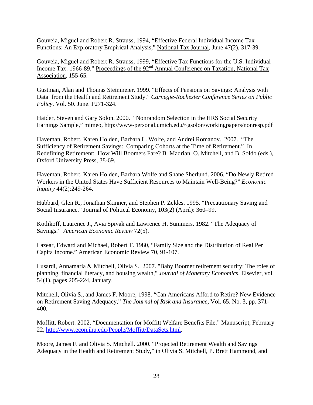Gouveia, Miguel and Robert R. Strauss, 1994, "Effective Federal Individual Income Tax Functions: An Exploratory Empirical Analysis," National Tax Journal, June 47(2), 317-39.

Gouveia, Miguel and Robert R. Strauss, 1999, "Effective Tax Functions for the U.S. Individual Income Tax: 1966-89," Proceedings of the 92<sup>nd</sup> Annual Conference on Taxation, National Tax Association, 155-65.

Gustman, Alan and Thomas Steinmeier. 1999. "Effects of Pensions on Savings: Analysis with Data from the Health and Retirement Study." *Carnegie-Rochester Conference Series on Public Policy*. Vol. 50. June. P271-324.

Haider, Steven and Gary Solon. 2000. "Nonrandom Selection in the HRS Social Security Earnings Sample," mimeo, http://www-personal.umich.edu/~gsolon/workingpapers/nonresp.pdf

Haveman, Robert, Karen Holden, Barbara L. Wolfe, and Andrei Romanov. 2007. "The Sufficiency of Retirement Savings: Comparing Cohorts at the Time of Retirement." In Redefining Retirement: How Will Boomers Fare? B. Madrian, O. Mitchell, and B. Soldo (eds.), Oxford University Press, 38-69.

Haveman, Robert, Karen Holden, Barbara Wolfe and Shane Sherlund. 2006. "Do Newly Retired Workers in the United States Have Sufficient Resources to Maintain Well-Being?" *Economic Inquiry* 44(2):249-264.

Hubbard, Glen R., Jonathan Skinner, and Stephen P. Zeldes. 1995. "Precautionary Saving and Social Insurance." Journal of Political Economy, 103(2) (April): 360–99.

Kotlikoff, Laurence J., Avia Spivak and Lawrence H. Summers. 1982. "The Adequacy of Savings." *American Economic Review* 72(5).

Lazear, Edward and Michael, Robert T. 1980, "Family Size and the Distribution of Real Per Capita Income." American Economic Review 70, 91-107.

Lusardi, Annamaria & Mitchell, Olivia S., 2007. "Baby Boomer retirement security: The roles of planning, financial literacy, and housing wealth," *Journal of Monetary Economics*, Elsevier, vol. 54(1), pages 205-224, January.

Mitchell, Olivia S., and James F. Moore, 1998. "Can Americans Afford to Retire? New Evidence on Retirement Saving Adequacy," *The Journal of Risk and Insurance*, Vol. 65, No. 3, pp. 371- 400.

Moffitt, Robert. 2002. "Documentation for Moffitt Welfare Benefits File." Manuscript, February 22, http://www.econ.jhu.edu/People/Moffitt/DataSets.html.

Moore, James F. and Olivia S. Mitchell. 2000. "Projected Retirement Wealth and Savings Adequacy in the Health and Retirement Study," in Olivia S. Mitchell, P. Brett Hammond, and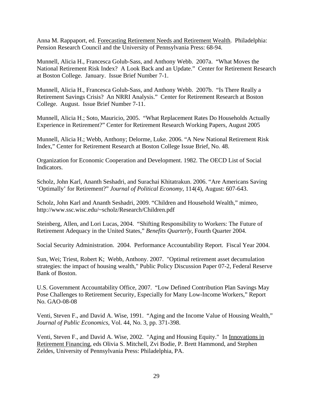Anna M. Rappaport, ed. Forecasting Retirement Needs and Retirement Wealth. Philadelphia: Pension Research Council and the University of Pennsylvania Press: 68-94.

Munnell, Alicia H., Francesca Golub-Sass, and Anthony Webb. 2007a. "What Moves the National Retirement Risk Index? A Look Back and an Update." Center for Retirement Research at Boston College. January. Issue Brief Number 7-1.

Munnell, Alicia H., Francesca Golub-Sass, and Anthony Webb. 2007b. "Is There Really a Retirement Savings Crisis? An NRRI Analysis." Center for Retirement Research at Boston College. August. Issue Brief Number 7-11.

Munnell, Alicia H.; Soto, Mauricio, 2005. "What Replacement Rates Do Households Actually Experience in Retirement?" Center for Retirement Research Working Papers, August 2005

Munnell, Alicia H.; Webb, Anthony; Delorme, Luke. 2006. "A New National Retirement Risk Index," Center for Retirement Research at Boston College Issue Brief, No. 48.

Organization for Economic Cooperation and Development. 1982. The OECD List of Social Indicators.

Scholz, John Karl, Ananth Seshadri, and Surachai Khitatrakun. 2006. "Are Americans Saving 'Optimally' for Retirement?" *Journal of Political Economy*, 114(4), August: 607-643.

Scholz, John Karl and Ananth Seshadri, 2009. "Children and Household Wealth," mimeo, http://www.ssc.wisc.edu/~scholz/Research/Children.pdf

Steinberg, Allen, and Lori Lucas, 2004. "Shifting Responsibility to Workers: The Future of Retirement Adequacy in the United States," *Benefits Quarterly*, Fourth Quarter 2004.

Social Security Administration. 2004. Performance Accountability Report. Fiscal Year 2004.

Sun, Wei; Triest, Robert K; Webb, Anthony. 2007. "Optimal retirement asset decumulation strategies: the impact of housing wealth," Public Policy Discussion Paper 07-2, Federal Reserve Bank of Boston.

U.S. Government Accountability Office, 2007. "Low Defined Contribution Plan Savings May Pose Challenges to Retirement Security, Especially for Many Low-Income Workers," Report No. GAO-08-08

Venti, Steven F., and David A. Wise, 1991. "Aging and the Income Value of Housing Wealth," *Journal of Public Economics*, Vol. 44, No. 3, pp. 371-398.

Venti, Steven F., and David A. Wise, 2002. "Aging and Housing Equity." In Innovations in Retirement Financing, eds Olivia S. Mitchell, Zvi Bodie, P. Brett Hammond, and Stephen Zeldes, University of Pennsylvania Press: Philadelphia, PA.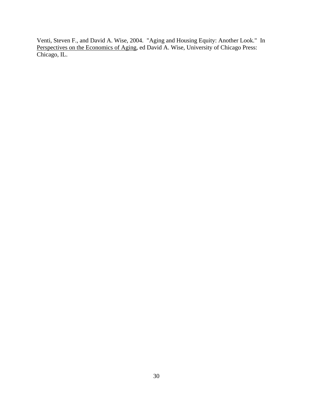Venti, Steven F., and David A. Wise, 2004. "Aging and Housing Equity: Another Look." In Perspectives on the Economics of Aging, ed David A. Wise, University of Chicago Press: Chicago, IL.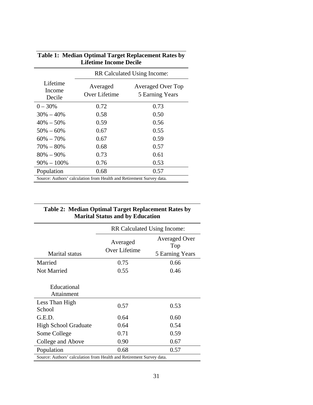|                                                                      | RR Calculated Using Income: |                                             |
|----------------------------------------------------------------------|-----------------------------|---------------------------------------------|
| Lifetime<br>Income<br>Decile                                         | Averaged<br>Over Lifetime   | <b>Averaged Over Top</b><br>5 Earning Years |
| $0 - 30%$                                                            | 0.72                        | 0.73                                        |
| $30\% - 40\%$                                                        | 0.58                        | 0.50                                        |
| $40\% - 50\%$                                                        | 0.59                        | 0.56                                        |
| $50\% - 60\%$                                                        | 0.67                        | 0.55                                        |
| $60\% - 70\%$                                                        | 0.67                        | 0.59                                        |
| $70\% - 80\%$                                                        | 0.68                        | 0.57                                        |
| $80\% - 90\%$                                                        | 0.73                        | 0.61                                        |
| $90\% - 100\%$                                                       | 0.76                        | 0.53                                        |
| Population                                                           | 0.68                        | 0.57                                        |
| Source: Authors' calculation from Health and Retirement Survey data. |                             |                                             |

#### **Table 1: Median Optimal Target Replacement Rates by Lifetime Income Decile**

#### **Table 2: Median Optimal Target Replacement Rates by Marital Status and by Education**

|                                                                      | RR Calculated Using Income: |                                                |
|----------------------------------------------------------------------|-----------------------------|------------------------------------------------|
| <b>Marital</b> status                                                | Averaged<br>Over Lifetime   | <b>Averaged Over</b><br>Top<br>5 Earning Years |
| Married                                                              | 0.75                        | 0.66                                           |
| Not Married                                                          | 0.55                        | 0.46                                           |
| Educational<br>Attainment<br>Less Than High                          |                             |                                                |
| School                                                               | 0.57                        | 0.53                                           |
| G.E.D.                                                               | 0.64                        | 0.60                                           |
| <b>High School Graduate</b>                                          | 0.64                        | 0.54                                           |
| Some College                                                         | 0.71                        | 0.59                                           |
| College and Above                                                    | 0.90                        | 0.67                                           |
| Population                                                           | 0.68                        | 0.57                                           |
| Source: Authors' calculation from Health and Retirement Survey data. |                             |                                                |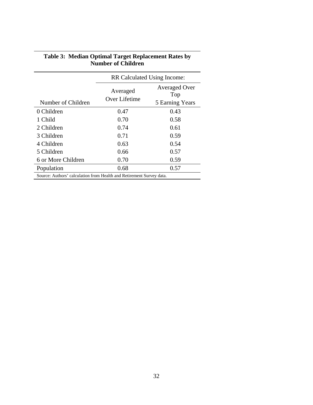|                                                                      | RR Calculated Using Income: |                                                |  |
|----------------------------------------------------------------------|-----------------------------|------------------------------------------------|--|
| Number of Children                                                   | Averaged<br>Over Lifetime   | <b>Averaged Over</b><br>Top<br>5 Earning Years |  |
| 0 Children                                                           | 0.47                        | 0.43                                           |  |
| 1 Child                                                              | 0.70                        | 0.58                                           |  |
| 2 Children                                                           | 0.74                        | 0.61                                           |  |
| 3 Children                                                           | 0.71                        | 0.59                                           |  |
| 4 Children                                                           | 0.63                        | 0.54                                           |  |
| 5 Children                                                           | 0.66                        | 0.57                                           |  |
| 6 or More Children                                                   | 0.70                        | 0.59                                           |  |
| Population                                                           | 0.68                        | 0.57                                           |  |
| Source: Authors' calculation from Health and Retirement Survey data. |                             |                                                |  |

#### **Table 3: Median Optimal Target Replacement Rates by Number of Children**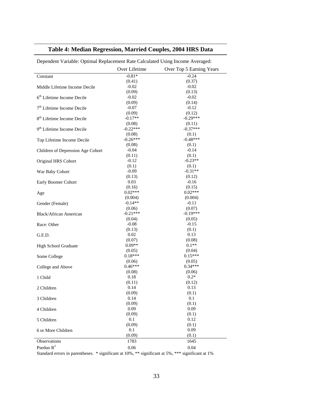### **Table 4: Median Regression, Married Couples, 2004 HRS Data**

|                                        | Over Lifetime  | Over Top 5 Earning Years |
|----------------------------------------|----------------|--------------------------|
| Constant                               | $-0.81*$       | $-0.24$                  |
|                                        | (0.41)         | (0.37)                   |
| Middle Lifetime Income Decile          | $-0.02$        | $-0.02$                  |
|                                        | (0.09)         | (0.13)                   |
| $6th$ Lifetime Income Decile           | $-0.02$        | $-0.02$                  |
|                                        | (0.09)         | (0.14)                   |
| 7 <sup>th</sup> Lifetime Income Decile | $-0.07$        | $-0.12$                  |
|                                        | (0.09)         | (0.12)                   |
| 8 <sup>th</sup> Lifetime Income Decile | $-0.17**$      | $-0.29***$               |
|                                        | (0.08)         | (0.11)                   |
| 9 <sup>th</sup> Lifetime Income Decile | $-0.22***$     | $-0.37***$               |
|                                        | (0.08)         | (0.1)                    |
| Top Lifetime Income Decile             | $-0.26***$     | $-0.48***$               |
|                                        | (0.08)         | (0.1)                    |
| Children of Depression Age Cohort      | $-0.04$        | $-0.14$                  |
|                                        | (0.11)         | (0.1)                    |
| Original HRS Cohort                    | $-0.12$        | $-0.23**$                |
|                                        | (0.1)          | (0.1)                    |
|                                        | $-0.09$        | $-0.31**$                |
| War Baby Cohort                        |                |                          |
|                                        | (0.13)<br>0.03 | (0.12)<br>$-0.16$        |
| Early Boomer Cohort                    |                |                          |
|                                        | (0.16)         | (0.15)                   |
| Age                                    | $0.02***$      | $0.02***$                |
|                                        | (0.004)        | (0.004)                  |
| Gender (Female)                        | $-0.14**$      | $-0.11$                  |
|                                        | (0.06)         | (0.07)                   |
| Black/African American                 | $-0.21***$     | $-0.19***$               |
|                                        | (0.04)         | (0.05)                   |
| Race: Other                            | $-0.08$        | $-0.15$                  |
|                                        | (0.13)         | (0.1)                    |
| G.E.D.                                 | 0.02           | 0.13                     |
|                                        | (0.07)         | (0.08)                   |
| High School Graduate                   | $0.09**$       | $0.1**$                  |
|                                        | (0.05)         | (0.04)                   |
| Some College                           | $0.18***$      | $0.15***$                |
|                                        | (0.06)         | (0.05)                   |
| College and Above                      | $0.46***$      | $0.34***$                |
|                                        | (0.08)         | (0.06)                   |
| 1 Child                                | 0.18           | $0.2*$                   |
|                                        | (0.11)         | (0.12)                   |
| 2 Children                             | 0.14           | 0.13                     |
|                                        | (0.09)         | (0.1)                    |
| 3 Children                             | 0.14           | 0.1                      |
|                                        | (0.09)         | (0.1)                    |
| 4 Children                             | 0.09           | 0.09                     |
|                                        | (0.09)         | (0.1)                    |
| 5 Children                             | 0.1            | 0.12                     |
|                                        | (0.09)         | (0.1)                    |
| 6 or More Children                     | 0.1            | 0.09                     |
|                                        | (0.09)         | (0.1)                    |
| Observations                           | 1783           | 1645                     |
| Pseduo $R^2$                           |                |                          |
|                                        | 0.06           | 0.04                     |

Dependent Variable: Optimal Replacement Rate Calculated Using Income Averaged:

Standard errors in parentheses. \* significant at 10%, \*\* significant at 5%, \*\*\* significant at 1%